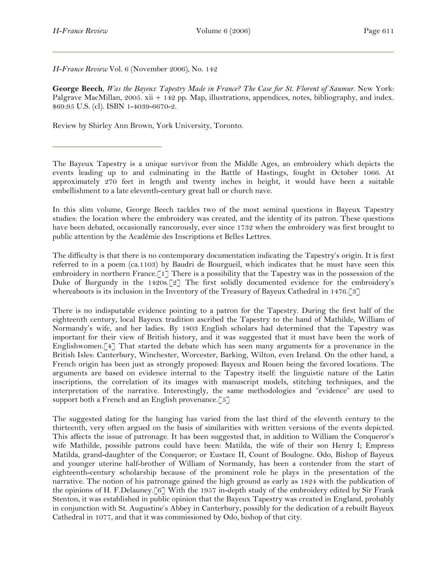*H-France Review* Vol. 6 (November 2006), No. 142

**George Beech**, *Was the Bayeux Tapestry Made in France? The Case for St. Florent of Saumur*. New York: Palgrave MacMillan, 2005. xii + 142 pp. Map, illustrations, appendices, notes, bibliography, and index. \$69.95 U.S. (cl). ISBN 1-4039-6670-2.

Review by Shirley Ann Brown, York University, Toronto.

The Bayeux Tapestry is a unique survivor from the Middle Ages, an embroidery which depicts the events leading up to and culminating in the Battle of Hastings, fought in October 1066. At approximately 270 feet in length and twenty inches in height, it would have been a suitable embellishment to a late eleventh-century great hall or church nave.

In this slim volume, George Beech tackles two of the most seminal questions in Bayeux Tapestry studies: the location where the embroidery was created, and the identity of its patron. These questions have been debated, occasionally rancorously, ever since 1732 when the embroidery was first brought to public attention by the Académie des Inscriptions et Belles Lettres.

The difficulty is that there is no contemporary documentation indicating the Tapestry's origin. It is first referred to in a poem (ca.1103) by Baudri de Bourgueil, which indicates that he must have seen this embroidery in northern France.<sup>[1]</sup> There is a possibility that the Tapestry was in the possession of the Duke of Burgundy in the 1420s.<sup>[2]</sup> The first solidly documented evidence for the embroidery's whereabouts is its inclusion in the Inventory of the Treasury of Bayeux Cathedral in 1476.[3]

There is no indisputable evidence pointing to a patron for the Tapestry. During the first half of the eighteenth century, local Bayeux tradition ascribed the Tapestry to the hand of Mathilde, William of Normandy's wife, and her ladies. By 1803 English scholars had determined that the Tapestry was important for their view of British history, and it was suggested that it must have been the work of Englishwomen.[4] That started the debate which has seen many arguments for a provenance in the British Isles: Canterbury, Winchester, Worcester, Barking, Wilton, even Ireland. On the other hand, a French origin has been just as strongly proposed: Bayeux and Rouen being the favored locations. The arguments are based on evidence internal to the Tapestry itself: the linguistic nature of the Latin inscriptions, the correlation of its images with manuscript models, stitching techniques, and the interpretation of the narrative. Interestingly, the same methodologies and "evidence" are used to support both a French and an English provenance.<sup>[5]</sup>

The suggested dating for the hanging has varied from the last third of the eleventh century to the thirteenth, very often argued on the basis of similarities with written versions of the events depicted. This affects the issue of patronage. It has been suggested that, in addition to William the Conqueror's wife Mathilde, possible patrons could have been: Matilda, the wife of their son Henry I; Empress Matilda, grand-daughter of the Conqueror; or Eustace II, Count of Boulogne. Odo, Bishop of Bayeux and younger uterine half-brother of William of Normandy, has been a contender from the start of eighteenth-century scholarship because of the prominent role he plays in the presentation of the narrative. The notion of his patronage gained the high ground as early as 1824 with the publication of the opinions of H. F.Delauney.[6] With the 1957 in-depth study of the embroidery edited by Sir Frank Stenton, it was established in public opinion that the Bayeux Tapestry was created in England, probably in conjunction with St. Augustine's Abbey in Canterbury, possibly for the dedication of a rebuilt Bayeux Cathedral in 1077, and that it was commissioned by Odo, bishop of that city.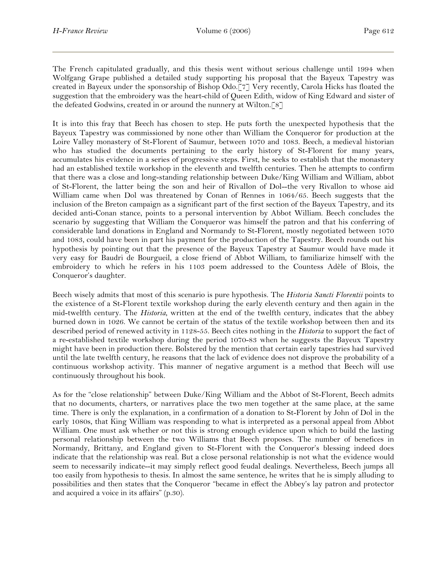The French capitulated gradually, and this thesis went without serious challenge until 1994 when Wolfgang Grape published a detailed study supporting his proposal that the Bayeux Tapestry was created in Bayeux under the sponsorship of Bishop Odo.[7] Very recently, Carola Hicks has floated the suggestion that the embroidery was the heart-child of Queen Edith, widow of King Edward and sister of the defeated Godwins, created in or around the nunnery at Wilton.[8]

It is into this fray that Beech has chosen to step. He puts forth the unexpected hypothesis that the Bayeux Tapestry was commissioned by none other than William the Conqueror for production at the Loire Valley monastery of St-Florent of Saumur, between 1070 and 1083. Beech, a medieval historian who has studied the documents pertaining to the early history of St-Florent for many years, accumulates his evidence in a series of progressive steps. First, he seeks to establish that the monastery had an established textile workshop in the eleventh and twelfth centuries. Then he attempts to confirm that there was a close and long-standing relationship between Duke/King William and William, abbot of St-Florent, the latter being the son and heir of Rivallon of Dol--the very Rivallon to whose aid William came when Dol was threatened by Conan of Rennes in 1064/65. Beech suggests that the inclusion of the Breton campaign as a significant part of the first section of the Bayeux Tapestry, and its decided anti-Conan stance, points to a personal intervention by Abbot William. Beech concludes the scenario by suggesting that William the Conqueror was himself the patron and that his conferring of considerable land donations in England and Normandy to St-Florent, mostly negotiated between 1070 and 1083, could have been in part his payment for the production of the Tapestry. Beech rounds out his hypothesis by pointing out that the presence of the Bayeux Tapestry at Saumur would have made it very easy for Baudri de Bourgueil, a close friend of Abbot William, to familiarize himself with the embroidery to which he refers in his 1103 poem addressed to the Countess Adèle of Blois, the Conqueror's daughter.

Beech wisely admits that most of this scenario is pure hypothesis. The *Historia Sancti Florentii* points to the existence of a St-Florent textile workshop during the early eleventh century and then again in the mid-twelfth century. The *Historia*, written at the end of the twelfth century, indicates that the abbey burned down in 1026. We cannot be certain of the status of the textile workshop between then and its described period of renewed activity in 1128-55. Beech cites nothing in the *Historia* to support the fact of a re-established textile workshop during the period 1070-83 when he suggests the Bayeux Tapestry might have been in production there. Bolstered by the mention that certain early tapestries had survived until the late twelfth century, he reasons that the lack of evidence does not disprove the probability of a continuous workshop activity. This manner of negative argument is a method that Beech will use continuously throughout his book.

As for the "close relationship" between Duke/King William and the Abbot of St-Florent, Beech admits that no documents, charters, or narratives place the two men together at the same place, at the same time. There is only the explanation, in a confirmation of a donation to St-Florent by John of Dol in the early 1080s, that King William was responding to what is interpreted as a personal appeal from Abbot William. One must ask whether or not this is strong enough evidence upon which to build the lasting personal relationship between the two Williams that Beech proposes. The number of benefices in Normandy, Brittany, and England given to St-Florent with the Conqueror's blessing indeed does indicate that the relationship was real. But a close personal relationship is not what the evidence would seem to necessarily indicate--it may simply reflect good feudal dealings. Nevertheless, Beech jumps all too easily from hypothesis to thesis. In almost the same sentence, he writes that he is simply alluding to possibilities and then states that the Conqueror "became in effect the Abbey's lay patron and protector and acquired a voice in its affairs" (p.30).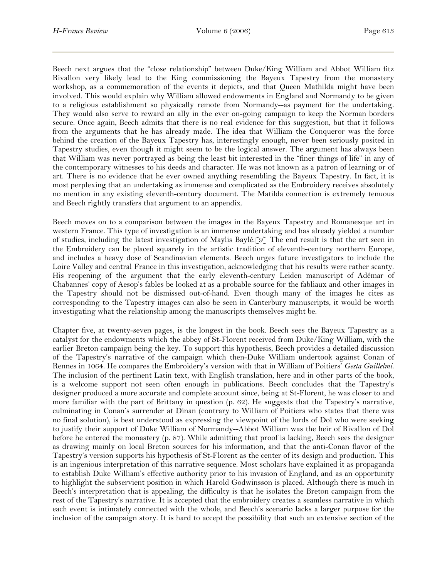Beech next argues that the "close relationship" between Duke/King William and Abbot William fitz Rivallon very likely lead to the King commissioning the Bayeux Tapestry from the monastery workshop, as a commemoration of the events it depicts, and that Queen Mathilda might have been involved. This would explain why William allowed endowments in England and Normandy to be given to a religious establishment so physically remote from Normandy--as payment for the undertaking. They would also serve to reward an ally in the ever on-going campaign to keep the Norman borders secure. Once again, Beech admits that there is no real evidence for this suggestion, but that it follows from the arguments that he has already made. The idea that William the Conqueror was the force behind the creation of the Bayeux Tapestry has, interestingly enough, never been seriously posited in Tapestry studies, even though it might seem to be the logical answer. The argument has always been that William was never portrayed as being the least bit interested in the "finer things of life" in any of the contemporary witnesses to his deeds and character. He was not known as a patron of learning or of art. There is no evidence that he ever owned anything resembling the Bayeux Tapestry. In fact, it is most perplexing that an undertaking as immense and complicated as the Embroidery receives absolutely no mention in any existing eleventh-century document. The Matilda connection is extremely tenuous and Beech rightly transfers that argument to an appendix.

Beech moves on to a comparison between the images in the Bayeux Tapestry and Romanesque art in western France. This type of investigation is an immense undertaking and has already yielded a number of studies, including the latest investigation of Maylis Baylé.[9] The end result is that the art seen in the Embroidery can be placed squarely in the artistic tradition of eleventh-century northern Europe, and includes a heavy dose of Scandinavian elements. Beech urges future investigators to include the Loire Valley and central France in this investigation, acknowledging that his results were rather scanty. His reopening of the argument that the early eleventh-century Leiden manuscript of Adémar of Chabannes' copy of Aesop's fables be looked at as a probable source for the fabliaux and other images in the Tapestry should not be dismissed out-of-hand. Even though many of the images he cites as corresponding to the Tapestry images can also be seen in Canterbury manuscripts, it would be worth investigating what the relationship among the manuscripts themselves might be.

Chapter five, at twenty-seven pages, is the longest in the book. Beech sees the Bayeux Tapestry as a catalyst for the endowments which the abbey of St-Florent received from Duke/King William, with the earlier Breton campaign being the key. To support this hypothesis, Beech provides a detailed discussion of the Tapestry's narrative of the campaign which then-Duke William undertook against Conan of Rennes in 1064. He compares the Embroidery's version with that in William of Poitiers' *Gesta Guillelmi*. The inclusion of the pertinent Latin text, with English translation, here and in other parts of the book, is a welcome support not seen often enough in publications. Beech concludes that the Tapestry's designer produced a more accurate and complete account since, being at St-Florent, he was closer to and more familiar with the part of Brittany in question  $(p, 62)$ . He suggests that the Tapestry's narrative, culminating in Conan's surrender at Dinan (contrary to William of Poitiers who states that there was no final solution), is best understood as expressing the viewpoint of the lords of Dol who were seeking to justify their support of Duke William of Normandy--Abbot William was the heir of Rivallon of Dol before he entered the monastery (p. 87). While admitting that proof is lacking, Beech sees the designer as drawing mainly on local Breton sources for his information, and that the anti-Conan flavor of the Tapestry's version supports his hypothesis of St-Florent as the center of its design and production. This is an ingenious interpretation of this narrative sequence. Most scholars have explained it as propaganda to establish Duke William's effective authority prior to his invasion of England, and as an opportunity to highlight the subservient position in which Harold Godwinsson is placed. Although there is much in Beech's interpretation that is appealing, the difficulty is that he isolates the Breton campaign from the rest of the Tapestry's narrative. It is accepted that the embroidery creates a seamless narrative in which each event is intimately connected with the whole, and Beech's scenario lacks a larger purpose for the inclusion of the campaign story. It is hard to accept the possibility that such an extensive section of the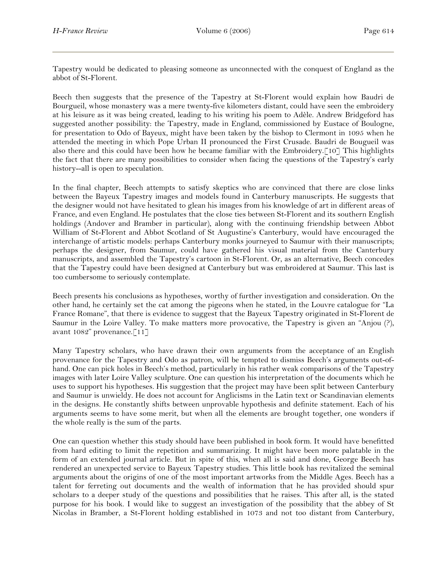Tapestry would be dedicated to pleasing someone as unconnected with the conquest of England as the abbot of St-Florent.

Beech then suggests that the presence of the Tapestry at St-Florent would explain how Baudri de Bourgueil, whose monastery was a mere twenty-five kilometers distant, could have seen the embroidery at his leisure as it was being created, leading to his writing his poem to Adèle. Andrew Bridgeford has suggested another possibility: the Tapestry, made in England, commissioned by Eustace of Boulogne, for presentation to Odo of Bayeux, might have been taken by the bishop to Clermont in 1095 when he attended the meeting in which Pope Urban II pronounced the First Crusade. Baudri de Bougueil was also there and this could have been how he became familiar with the Embroidery.[10] This highlights the fact that there are many possibilities to consider when facing the questions of the Tapestry's early history--all is open to speculation.

In the final chapter, Beech attempts to satisfy skeptics who are convinced that there are close links between the Bayeux Tapestry images and models found in Canterbury manuscripts. He suggests that the designer would not have hesitated to glean his images from his knowledge of art in different areas of France, and even England. He postulates that the close ties between St-Florent and its southern English holdings (Andover and Bramber in particular), along with the continuing friendship between Abbot William of St-Florent and Abbot Scotland of St Augustine's Canterbury, would have encouraged the interchange of artistic models: perhaps Canterbury monks journeyed to Saumur with their manuscripts; perhaps the designer, from Saumur, could have gathered his visual material from the Canterbury manuscripts, and assembled the Tapestry's cartoon in St-Florent. Or, as an alternative, Beech concedes that the Tapestry could have been designed at Canterbury but was embroidered at Saumur. This last is too cumbersome to seriously contemplate.

Beech presents his conclusions as hypotheses, worthy of further investigation and consideration. On the other hand, he certainly set the cat among the pigeons when he stated, in the Louvre catalogue for "La France Romane", that there is evidence to suggest that the Bayeux Tapestry originated in St-Florent de Saumur in the Loire Valley. To make matters more provocative, the Tapestry is given an "Anjou (?), avant 1082" provenance.[11]

Many Tapestry scholars, who have drawn their own arguments from the acceptance of an English provenance for the Tapestry and Odo as patron, will be tempted to dismiss Beech's arguments out-ofhand. One can pick holes in Beech's method, particularly in his rather weak comparisons of the Tapestry images with later Loire Valley sculpture. One can question his interpretation of the documents which he uses to support his hypotheses. His suggestion that the project may have been split between Canterbury and Saumur is unwieldy. He does not account for Anglicisms in the Latin text or Scandinavian elements in the designs. He constantly shifts between unprovable hypothesis and definite statement. Each of his arguments seems to have some merit, but when all the elements are brought together, one wonders if the whole really is the sum of the parts.

One can question whether this study should have been published in book form. It would have benefitted from hard editing to limit the repetition and summarizing. It might have been more palatable in the form of an extended journal article. But in spite of this, when all is said and done, George Beech has rendered an unexpected service to Bayeux Tapestry studies. This little book has revitalized the seminal arguments about the origins of one of the most important artworks from the Middle Ages. Beech has a talent for ferreting out documents and the wealth of information that he has provided should spur scholars to a deeper study of the questions and possibilities that he raises. This after all, is the stated purpose for his book. I would like to suggest an investigation of the possibility that the abbey of St Nicolas in Bramber, a St-Florent holding established in 1073 and not too distant from Canterbury,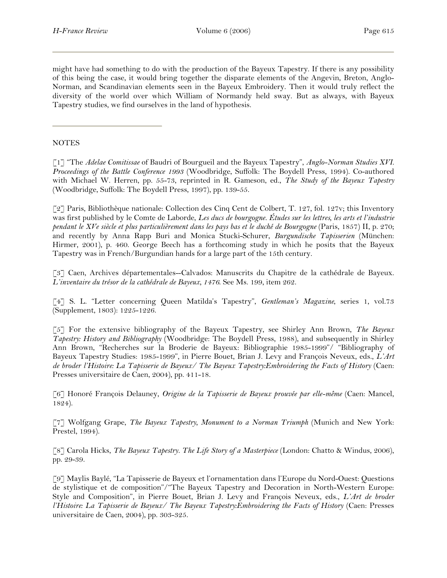might have had something to do with the production of the Bayeux Tapestry. If there is any possibility of this being the case, it would bring together the disparate elements of the Angevin, Breton, Anglo-Norman, and Scandinavian elements seen in the Bayeux Embroidery. Then it would truly reflect the diversity of the world over which William of Normandy held sway. But as always, with Bayeux Tapestry studies, we find ourselves in the land of hypothesis.

## NOTES

[1] "The *Adelae Comitissae* of Baudri of Bourgueil and the Bayeux Tapestry", *Anglo-Norman Studies XVI. Proceedings of the Battle Conference 1993* (Woodbridge, Suffolk: The Boydell Press, 1994). Co-authored with Michael W. Herren, pp. 55-73, reprinted in R. Gameson, ed., *The Study of the Bayeux Tapestry* (Woodbridge, Suffolk: The Boydell Press, 1997), pp. 139-55.

[2] Paris, Bibliothèque nationale: Collection des Cinq Cent de Colbert, T. 127, fol. 127v; this Inventory was first published by le Comte de Laborde, *Les ducs de bourgogne. Études sur les lettres, les arts et l'industrie pendant le XVe siècle et plus particulièrement dans les pays bas et le duché de Bourgogne* (Paris, 1857) II, p. 270; and recently by Anna Rapp Buri and Monica Stucki-Schurer, *Burgundische Tapisserien* (München: Hirmer, 2001), p. 460. George Beech has a forthcoming study in which he posits that the Bayeux Tapestry was in French/Burgundian hands for a large part of the 15th century.

[3] Caen, Archives départementales--Calvados: Manuscrits du Chapitre de la cathédrale de Bayeux. *L'inventaire du trésor de la cathédrale de Bayeux, 1476*. See Ms. 199, item 262.

[4] S. L. "Letter concerning Queen Matilda's Tapestry", *Gentleman's Magazine*, series 1, vol.73 (Supplement, 1803): 1225-1226.

[5] For the extensive bibliography of the Bayeux Tapestry, see Shirley Ann Brown, *The Bayeux Tapestry: History and Bibliography* (Woodbridge: The Boydell Press, 1988), and subsequently in Shirley Ann Brown, "Recherches sur la Broderie de Bayeux: Bibliographie 1985-1999"/ "Bibliography of Bayeux Tapestry Studies: 1985-1999", in Pierre Bouet, Brian J. Levy and François Neveux, eds., *L'Art de broder l'Histoire: La Tapisserie de Bayeux/ The Bayeux Tapestry:Embroidering the Facts of History* (Caen: Presses universitaire de Caen, 2004), pp. 411-18.

[6] Honoré François Delauney, *Origine de la Tapisserie de Bayeux prouvée par elle-même* (Caen: Mancel, 1824).

[7] Wolfgang Grape, *The Bayeux Tapestry, Monument to a Norman Triumph* (Munich and New York: Prestel, 1994).

[8] Carola Hicks, *The Bayeux Tapestry. The Life Story of a Masterpiece* (London: Chatto & Windus, 2006), pp. 29-39.

[9] Maylis Baylé, "La Tapisserie de Bayeux et l'ornamentation dans l'Europe du Nord-Ouest: Questions de stylistique et de composition"/"The Bayeux Tapestry and Decoration in North-Western Europe: Style and Composition", in Pierre Bouet, Brian J. Levy and François Neveux, eds., *L'Art de broder l'Histoire: La Tapisserie de Bayeux/ The Bayeux Tapestry:Embroidering the Facts of History* (Caen: Presses universitaire de Caen, 2004), pp. 303-325.